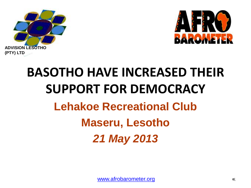



# **BASOTHO HAVE INCREASED THEIR SUPPORT FOR DEMOCRACY Lehakoe Recreational Club Maseru, Lesotho** *21 May 2013*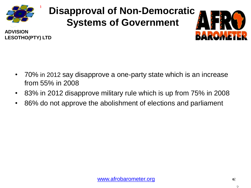

**LESOTHO(PTY) LTD**

**ADVISION** 

# **Disapproval of Non-Democratic Systems of Government**



- 70% in 2012 say disapprove a one-party state which is an increase from 55% in 2008
- 83% in 2012 disapprove military rule which is up from 75% in 2008
- 86% do not approve the abolishment of elections and parliament

 $\mathcal{P}$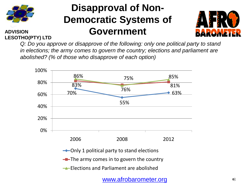

## **Disapproval of Non-Democratic Systems of Government**



**ADVISION LESOTHO(PTY) LTD**

> *Q: Do you approve or disapprove of the following: only one political party to stand in elections; the army comes to govern the country; elections and parliament are abolished? (% of those who disapprove of each option)*

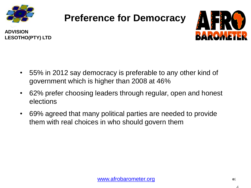

# **Preference for Democracy**





- 55% in 2012 say democracy is preferable to any other kind of government which is higher than 2008 at 46%
- 62% prefer choosing leaders through regular, open and honest elections
- 69% agreed that many political parties are needed to provide them with real choices in who should govern them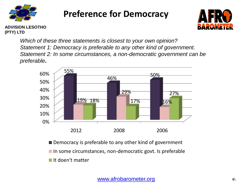

### **Preference for Democracy**



**ADVISION LESOTHO (PTY) LTD**

> *Which of these three statements is closest to your own opinion? Statement 1: Democracy is preferable to any other kind of government. Statement 2: In some circumstances, a non-democratic government can be preferable***.**



■ Democracy is preferable to any other kind of government  $\blacksquare$  In some circumstances, non-democratic govt. Is preferable It doen't matter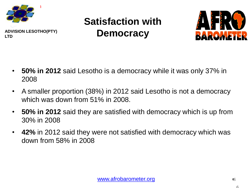

# **Satisfaction with Democracy**



- **50% in 2012** said Lesotho is a democracy while it was only 37% in 2008
- A smaller proportion (38%) in 2012 said Lesotho is not a democracy which was down from 51% in 2008.
- **50% in 2012** said they are satisfied with democracy which is up from 30% in 2008
- **42%** in 2012 said they were not satisfied with democracy which was down from 58% in 2008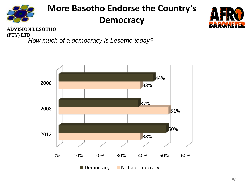

### **More Basotho Endorse the Country's Democracy**



**ADVISION LESOTHO (PTY) LTD**

*How much of a democracy is Lesotho today?*

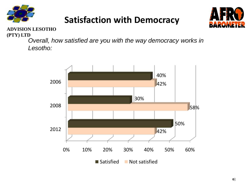

### **Satisfaction with Democracy**



#### **ADVISION LESOTHO (PTY) LTD**

*Overall, how satisfied are you with the way democracy works in Lesotho:*

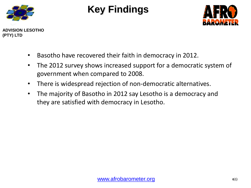

# **Key Findings**



**(PTY) LTD**

- Basotho have recovered their faith in democracy in 2012.
- The 2012 survey shows increased support for a democratic system of government when compared to 2008.
- There is widespread rejection of non-democratic alternatives.
- The majority of Basotho in 2012 say Lesotho is a democracy and they are satisfied with democracy in Lesotho.